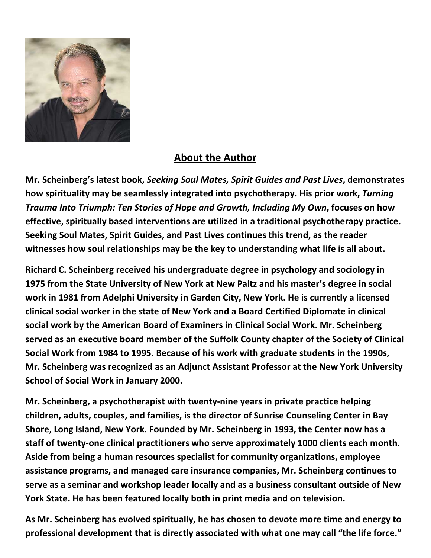

## About the Author

Mr. Scheinberg's latest book, Seeking Soul Mates, Spirit Guides and Past Lives, demonstrates how spirituality may be seamlessly integrated into psychotherapy. His prior work, Turning Trauma Into Triumph: Ten Stories of Hope and Growth, Including My Own, focuses on how effective, spiritually based interventions are utilized in a traditional psychotherapy practice. Seeking Soul Mates, Spirit Guides, and Past Lives continues this trend, as the reader witnesses how soul relationships may be the key to understanding what life is all about.

Richard C. Scheinberg received his undergraduate degree in psychology and sociology in 1975 from the State University of New York at New Paltz and his master's degree in social work in 1981 from Adelphi University in Garden City, New York. He is currently a licensed clinical social worker in the state of New York and a Board Certified Diplomate in clinical social work by the American Board of Examiners in Clinical Social Work. Mr. Scheinberg served as an executive board member of the Suffolk County chapter of the Society of Clinical Social Work from 1984 to 1995. Because of his work with graduate students in the 1990s, Mr. Scheinberg was recognized as an Adjunct Assistant Professor at the New York University School of Social Work in January 2000.

Mr. Scheinberg, a psychotherapist with twenty-nine years in private practice helping children, adults, couples, and families, is the director of Sunrise Counseling Center in Bay Shore, Long Island, New York. Founded by Mr. Scheinberg in 1993, the Center now has a staff of twenty-one clinical practitioners who serve approximately 1000 clients each month. Aside from being a human resources specialist for community organizations, employee assistance programs, and managed care insurance companies, Mr. Scheinberg continues to serve as a seminar and workshop leader locally and as a business consultant outside of New York State. He has been featured locally both in print media and on television.

As Mr. Scheinberg has evolved spiritually, he has chosen to devote more time and energy to professional development that is directly associated with what one may call "the life force."